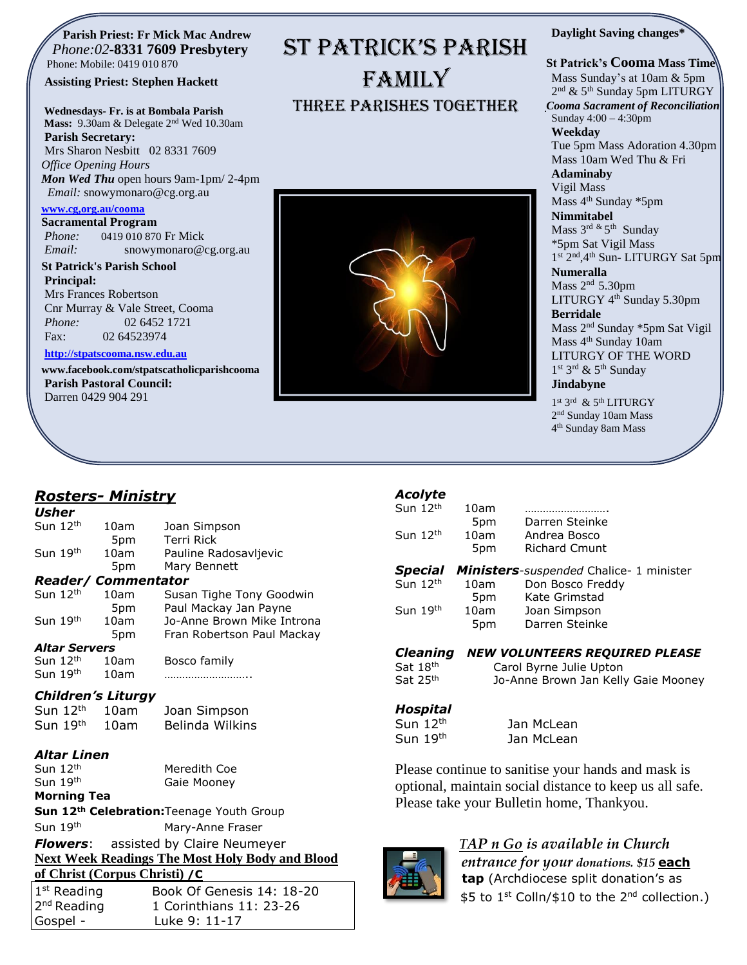#### **Parish Priest: Fr Mick Mac Andrew**  *Phone:02-***8331 7609 Presbytery** Phone: Mobile: 0419 010 870

#### **Assisting Priest: Stephen Hackett**

**Wednesdays- Fr. is at Bombala Parish Mass:** 9.30am & Delegate 2nd Wed 10.30am

**Parish Secretary:** Mrs Sharon Nesbitt 02 8331 7609 *Office Opening Hours Mon Wed Thu* open hours 9am-1pm/ 2-4pm *Email:* snowymonaro@cg.org.au

#### **[www.cg,org.au/cooma](http://www.cg,org.au/cooma)**

**Sacramental Program** *Phone:*0419 010 870 Fr Mick *Email:* snowymonaro@cg.org.au

**St Patrick's Parish School Principal:** Mrs Frances Robertson Cnr Murray & Vale Street, Cooma *Phone:* 02 6452 1721

Fax: 02 64523974

#### **[http://stpatscooma.nsw.edu.au](http://stpatscooma.nsw.edu.au/)**

**[www.facebook.com/stpatscatholicparishcooma](http://www.facebook.com/stpatscatholicparishcooma) Parish Pastoral Council:** Darren 0429 904 291

## ST PATRICK'S PARISH FAMILY Three Parishes Together

#### **Daylight Saving changes\***

#### **St Patrick's Cooma Mass Time** Mass Sunday's at 10am & 5pm 2<sup>nd</sup> & 5<sup>th</sup> Sunday 5pm LITURGY *Cooma Sacrament of Reconciliation* Sunday 4:00 – 4:30pm **Weekday**

Tue 5pm Mass Adoration 4.30pm Mass 10am Wed Thu & Fri

**Adaminaby** Vigil Mass

Mass 4<sup>th</sup> Sunday \*5pm **Nimmitabel**

Mass 3<sup>rd &</sup> 5<sup>th</sup> Sunday \*5pm Sat Vigil Mass 1st 2<sup>nd</sup>, 4<sup>th</sup> Sun- LITURGY Sat 5pm

**Numeralla**

Mass  $2<sup>nd</sup> 5.30<sup>pm</sup>$ LITURGY 4<sup>th</sup> Sunday 5.30pm **Berridale** Mass 2nd Sunday \*5pm Sat Vigil Mass 4<sup>th</sup> Sunday 10am LITURGY OF THE WORD 1st 3rd & 5<sup>th</sup> Sunday

#### **Jindabyne**

1st 3rd & 5th LITURGY 2<sup>nd</sup> Sunday 10am Mass 4 th Sunday 8am Mass

### *Rosters- Ministry*

| Usher    |         |  |
|----------|---------|--|
| $\cdots$ | ้ 1 ว†h |  |

| Sun 12th                  | 10am | Joan Simpson               |
|---------------------------|------|----------------------------|
|                           | 5pm  | Terri Rick                 |
| Sun 19th                  | 10am | Pauline Radosavljevic      |
|                           | 5pm  | Mary Bennett               |
| <b>Reader/Commentator</b> |      |                            |
| Sun 12th                  | 10am | Susan Tighe Tony Goodwin   |
|                           | 5pm  | Paul Mackay Jan Payne      |
| Sun 19th                  | 10am | Jo-Anne Brown Mike Introna |
|                           | 5pm  | Fran Robertson Paul Mackay |
| <b>Altar Servers</b>      |      |                            |
| Sun $12th$                | 10am | Bosco family               |
| Sun $19th$                | 10am |                            |

#### *Children's Liturgy*

| Sun $12th$ | 10am | Joan Simpson    |
|------------|------|-----------------|
| Sun $19th$ | 10am | Belinda Wilkins |

#### *Altar Linen*

| Sun $12th$           | Meredith Coe |
|----------------------|--------------|
| Sun 19 <sup>th</sup> | Gaie Mooney  |

### **Morning Tea**

**Sun 12th Celebration:**Teenage Youth Group Sun 19<sup>th</sup> Mary-Anne Fraser *Flowers*: assisted by Claire Neumeyer **Next Week Readings The Most Holy Body and Blood** 

**of Christ (Corpus Christi) /C** 

| $1st$ Reading | Book Of Genesis 14: 18-20 |
|---------------|---------------------------|
| $2nd$ Reading | 1 Corinthians 11: 23-26   |
| Gospel -      | Luke 9: 11-17             |
|               |                           |

### *Acolyte*

| Sun $12th$<br>Sun $12th$               | 10am<br>5pm<br>10am<br>5pm             | Darren Steinke<br>Andrea Bosco<br><b>Richard Cmunt</b>                                                         |
|----------------------------------------|----------------------------------------|----------------------------------------------------------------------------------------------------------------|
| <b>Special</b><br>Sun 12th<br>Sun 19th | 10am<br>5pm<br>10am<br>5 <sub>pm</sub> | Ministers-suspended Chalice- 1 minister<br>Don Bosco Freddy<br>Kate Grimstad<br>Joan Simpson<br>Darren Steinke |

#### *Cleaning NEW VOLUNTEERS REQUIRED PLEASE*

Sat 18th Sat 25<sup>th</sup>

 Carol Byrne Julie Upton Jo-Anne Brown Jan Kelly Gaie Mooney

#### *Hospital*

Sun 12<sup>th</sup> Jan McLean Sun 19<sup>th</sup> Jan McLean

Please continue to sanitise your hands and mask is optional, maintain social distance to keep us all safe. Please take your Bulletin home, Thankyou.



### *TAP n Go is available in Church*

*entrance for your donations. \$15* **each tap** (Archdiocese split donation's as \$5 to 1<sup>st</sup> Colln/\$10 to the 2<sup>nd</sup> collection.)